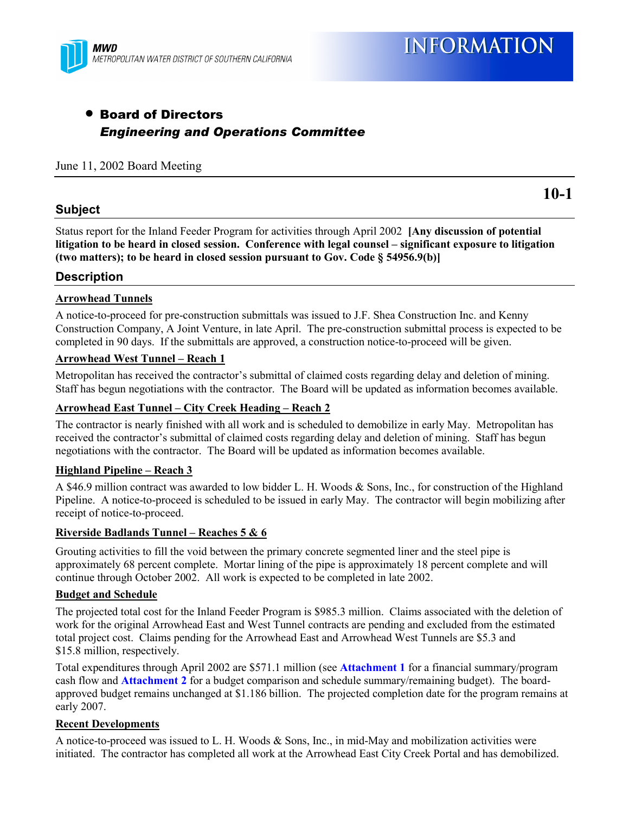

## • Board of Directors *Engineering and Operations Committee*

#### June 11, 2002 Board Meeting

#### **Subject**

**10-1**

Status report for the Inland Feeder Program for activities through April 2002 **[Any discussion of potential** litigation to be heard in closed session. Conference with legal counsel – significant exposure to litigation **(two matters); to be heard in closed session pursuant to Gov. Code ß 54956.9(b)]**

#### **Description**

#### **Arrowhead Tunnels**

A notice-to-proceed for pre-construction submittals was issued to J.F. Shea Construction Inc. and Kenny Construction Company, A Joint Venture, in late April. The pre-construction submittal process is expected to be completed in 90 days. If the submittals are approved, a construction notice-to-proceed will be given.

#### **Arrowhead West Tunnel - Reach 1**

Metropolitan has received the contractor's submittal of claimed costs regarding delay and deletion of mining. Staff has begun negotiations with the contractor. The Board will be updated as information becomes available.

#### Arrowhead East Tunnel – City Creek Heading – Reach 2

The contractor is nearly finished with all work and is scheduled to demobilize in early May. Metropolitan has received the contractor's submittal of claimed costs regarding delay and deletion of mining. Staff has begun negotiations with the contractor. The Board will be updated as information becomes available.

#### **Highland Pipeline – Reach 3**

A \$46.9 million contract was awarded to low bidder L. H. Woods & Sons, Inc., for construction of the Highland Pipeline. A notice-to-proceed is scheduled to be issued in early May. The contractor will begin mobilizing after receipt of notice-to-proceed.

#### **Riverside Badlands Tunnel – Reaches 5 & 6**

Grouting activities to fill the void between the primary concrete segmented liner and the steel pipe is approximately 68 percent complete. Mortar lining of the pipe is approximately 18 percent complete and will continue through October 2002. All work is expected to be completed in late 2002.

#### **Budget and Schedule**

The projected total cost for the Inland Feeder Program is \$985.3 million. Claims associated with the deletion of work for the original Arrowhead East and West Tunnel contracts are pending and excluded from the estimated total project cost. Claims pending for the Arrowhead East and Arrowhead West Tunnels are \$5.3 and \$15.8 million, respectively.

Total expenditures through April 2002 are \$571.1 million (see **Attachment 1** for a financial summary/program cash flow and **Attachment 2** for a budget comparison and schedule summary/remaining budget). The boardapproved budget remains unchanged at \$1.186 billion. The projected completion date for the program remains at early 2007.

#### **Recent Developments**

A notice-to-proceed was issued to L. H. Woods & Sons, Inc., in mid-May and mobilization activities were initiated. The contractor has completed all work at the Arrowhead East City Creek Portal and has demobilized.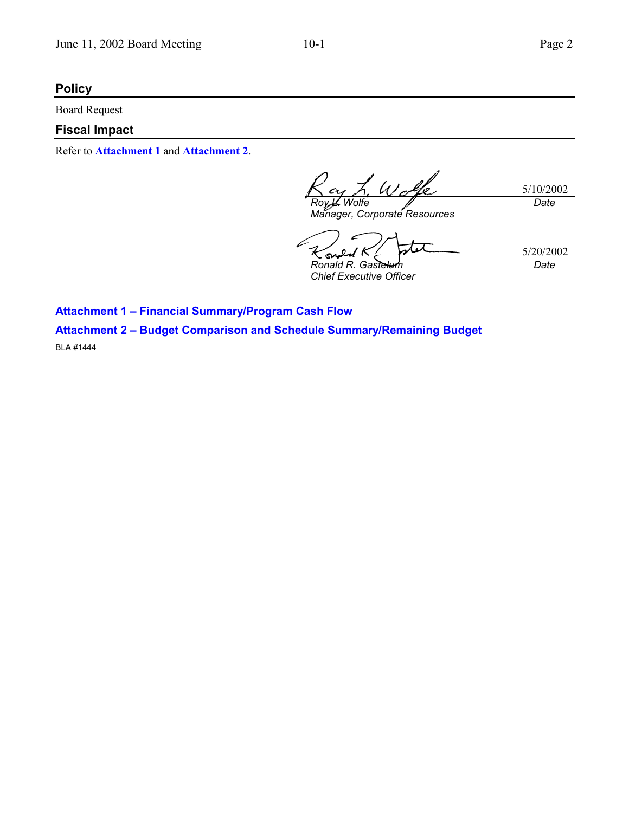## **Policy**

Board Request

### **Fiscal Impact**

Refer to **Attachment 1** and **Attachment 2**.

L. Wolk 5/10/2002 *<i>Wolfe Date*

*Manager, Corporate Resources*

5/20/2002 Ķ o <u>مى</u> *Ronald R. Gastelum Date*

*Chief Executive Officer*

**Attachment 1 - Financial Summary/Program Cash Flow Attachment 2 - Budget Comparison and Schedule Summary/Remaining Budget** BLA #1444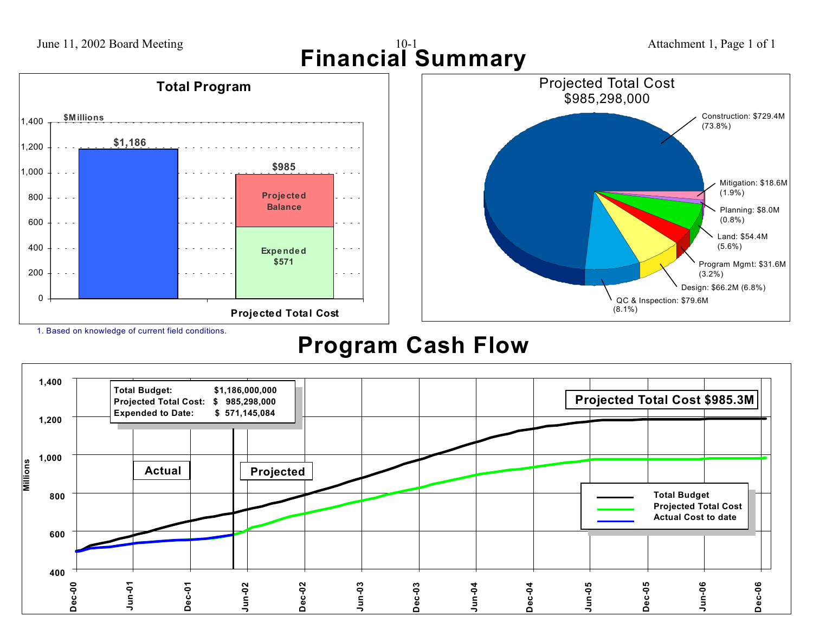